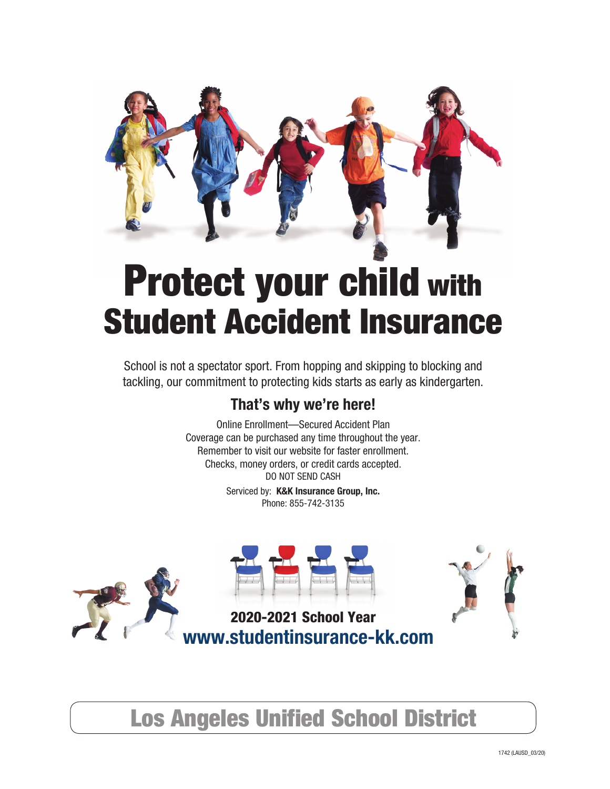

# Protect your child with Student Accident Insurance

School is not a spectator sport. From hopping and skipping to blocking and tackling, our commitment to protecting kids starts as early as kindergarten.

# **That's why we're here!**

Online Enrollment—Secured Accident Plan Coverage can be purchased any time throughout the year. Remember to visit our website for faster enrollment. Checks, money orders, or credit cards accepted. DO NOT SEND CASH

> Serviced by: **K&K Insurance Group, Inc.** Phone: 855-742-3135



Los Angeles Unified School District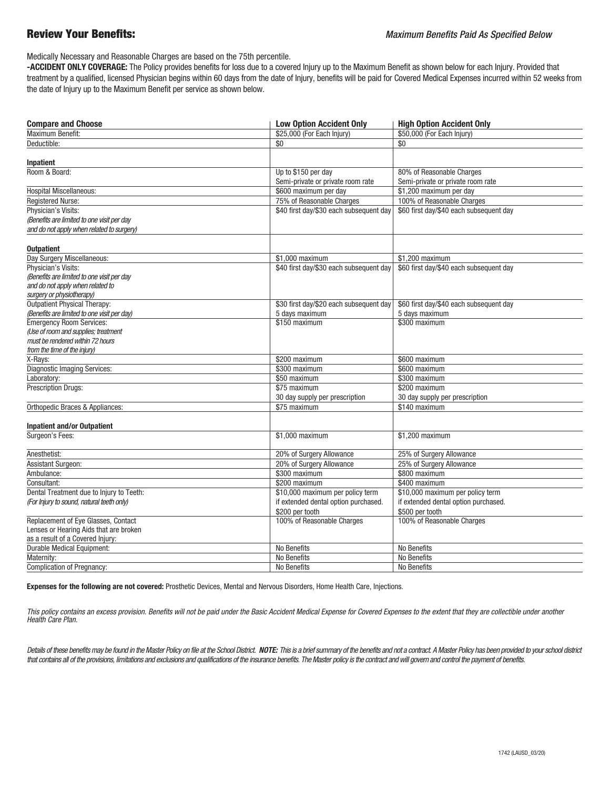Medically Necessary and Reasonable Charges are based on the 75th percentile.

 **-ACCIDENT ONLY COVERAGE:** The Policy provides benefits for loss due to a covered Injury up to the Maximum Benefit as shown below for each Injury. Provided that treatment by a qualified, licensed Physician begins within 60 days from the date of Injury, benefits will be paid for Covered Medical Expenses incurred within 52 weeks from the date of Injury up to the Maximum Benefit per service as shown below.

| <b>Compare and Choose</b>                   | <b>Low Option Accident Only</b>         | <b>High Option Accident Only</b>        |
|---------------------------------------------|-----------------------------------------|-----------------------------------------|
| <b>Maximum Benefit:</b>                     | \$25,000 (For Each Injury)              | \$50,000 (For Each Injury)              |
| Deductible:                                 | \$0                                     | \$0                                     |
| Inpatient                                   |                                         |                                         |
| Room & Board:                               | Up to \$150 per day                     | 80% of Reasonable Charges               |
|                                             | Semi-private or private room rate       | Semi-private or private room rate       |
| <b>Hospital Miscellaneous:</b>              | \$600 maximum per day                   | \$1,200 maximum per day                 |
|                                             | 75% of Reasonable Charges               | 100% of Reasonable Charges              |
| Registered Nurse:                           |                                         |                                         |
| Physician's Visits:                         | \$40 first day/\$30 each subsequent day | \$60 first day/\$40 each subsequent day |
| (Benefits are limited to one visit per day  |                                         |                                         |
| and do not apply when related to surgery)   |                                         |                                         |
| <b>Outpatient</b>                           |                                         |                                         |
| Day Surgery Miscellaneous:                  | \$1,000 maximum                         | \$1.200 maximum                         |
| Physician's Visits:                         | \$40 first day/\$30 each subsequent day | \$60 first day/\$40 each subsequent day |
| (Benefits are limited to one visit per day  |                                         |                                         |
| and do not apply when related to            |                                         |                                         |
| surgery or physiotherapy)                   |                                         |                                         |
| Outpatient Physical Therapy:                | \$30 first day/\$20 each subsequent day | \$60 first day/\$40 each subsequent day |
| (Benefits are limited to one visit per day) | 5 days maximum                          | 5 days maximum                          |
| <b>Emergency Room Services:</b>             | \$150 maximum                           | \$300 maximum                           |
| (Use of room and supplies; treatment        |                                         |                                         |
| must be rendered within 72 hours            |                                         |                                         |
| from the time of the injury)                |                                         |                                         |
| X-Rays:                                     | \$200 maximum                           | \$600 maximum                           |
| <b>Diagnostic Imaging Services:</b>         | \$300 maximum                           | \$600 maximum                           |
| Laboratory:                                 | \$50 maximum                            | \$300 maximum                           |
| <b>Prescription Drugs:</b>                  | \$75 maximum                            | \$200 maximum                           |
|                                             | 30 day supply per prescription          | 30 day supply per prescription          |
| Orthopedic Braces & Appliances:             | \$75 maximum                            | \$140 maximum                           |
| <b>Inpatient and/or Outpatient</b>          |                                         |                                         |
| Surgeon's Fees:                             | \$1,000 maximum                         | \$1,200 maximum                         |
|                                             |                                         |                                         |
| Anesthetist:                                | 20% of Surgery Allowance                | 25% of Surgery Allowance                |
| <b>Assistant Surgeon:</b>                   | 20% of Surgery Allowance                | 25% of Surgery Allowance                |
| Ambulance:                                  | \$300 maximum                           | \$800 maximum                           |
| Consultant:                                 | \$200 maximum                           | \$400 maximum                           |
| Dental Treatment due to Injury to Teeth:    | \$10,000 maximum per policy term        | \$10,000 maximum per policy term        |
| (For Injury to sound, natural teeth only)   | if extended dental option purchased.    | if extended dental option purchased.    |
|                                             | \$200 per tooth                         | \$500 per tooth                         |
| Replacement of Eye Glasses, Contact         | 100% of Reasonable Charges              | 100% of Reasonable Charges              |
| Lenses or Hearing Aids that are broken      |                                         |                                         |
| as a result of a Covered Injury:            |                                         |                                         |
| Durable Medical Equipment:                  | No Benefits                             | No Benefits                             |
| Maternity:                                  | No Benefits                             | No Benefits                             |
| <b>Complication of Pregnancy:</b>           | No Benefits                             | No Benefits                             |

**Expenses for the following are not covered:** Prosthetic Devices, Mental and Nervous Disorders, Home Health Care, Injections.

*This policy contains an excess provision. Benefits will not be paid under the Basic Accident Medical Expense for Covered Expenses to the extent that they are collectible under another Health Care Plan.*

Details of these benefits may be found in the Master Policy on file at the School District. NOTE: This is a brief summary of the benefits and not a contract. A Master Policy has been provided to your school district *that contains all of the provisions, limitations and exclusions and qualifications of the insurance benefits. The Master policy is the contract and will govern and control the payment of benefits.*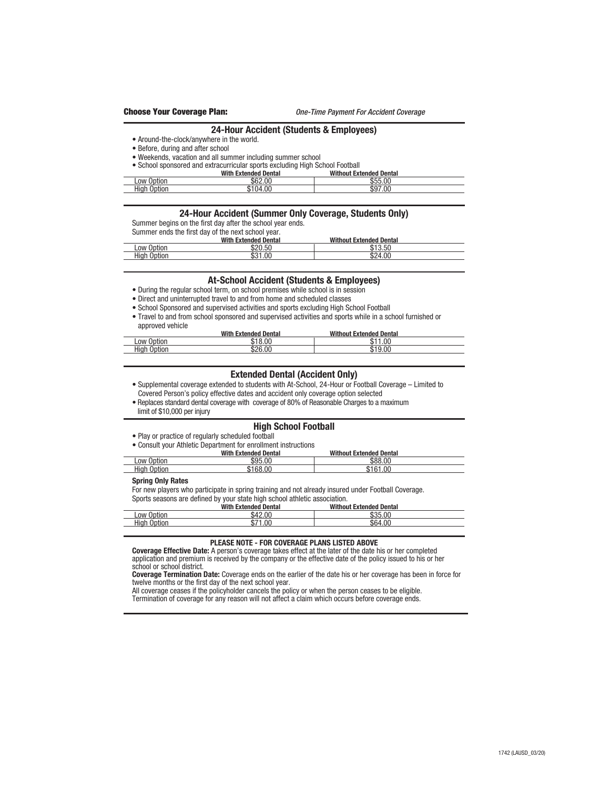#### **24-Hour Accident (Students & Employees)**

• Around-the-clock/anywhere in the world.

#### • Before, during and after school

- Weekends, vacation and all summer including summer school
- School sponsored and extracurricular sports excluding High School Football

|                         | With<br><b>Extended Dental</b> | <b>Without Extended Dental</b> |  |
|-------------------------|--------------------------------|--------------------------------|--|
| Low Option              | \$62.00                        | \$55.00                        |  |
| $\_$ High $'$<br>Option | .00<br>$\mathbf{A}$            | \$97.00                        |  |

#### **24-Hour Accident (Summer Only Coverage, Students Only)**

Summer begins on the first day after the school year ends.

Summer ends the first day of the next school year.

|                        | <b>With Extended Dental</b> | <b>Without Extended Dental</b> |  |
|------------------------|-----------------------------|--------------------------------|--|
| Low Option             | \$20.50                     | \$13.50<br>D.                  |  |
| High<br>Option<br>____ | 1.00<br>ጠብ⊣<br>აა           | \$24.00                        |  |

### **At-School Accident (Students & Employees)**

- During the regular school term, on school premises while school is in session
- Direct and uninterrupted travel to and from home and scheduled classes
- School Sponsored and supervised activities and sports excluding High School Football
- Travel to and from school sponsored and supervised activities and sports while in a school furnished or approved vehicle

|                         | With<br><b>Extended Dental</b> | <b>With</b><br>thout Extended Dental |  |
|-------------------------|--------------------------------|--------------------------------------|--|
| Low<br>Option           | . በቦ                           | .00<br>$\sim$<br>ιD                  |  |
| <b>High</b><br>$\cdots$ | \$26.00                        | 00                                   |  |

#### **Extended Dental (Accident Only)**

- Supplemental coverage extended to students with At-School, 24-Hour or Football Coverage Limited to Covered Person's policy effective dates and accident only coverage option selected
- Replaces standard dental coverage with coverage of 80% of Reasonable Charges to a maximum
- limit of \$10,000 per injury

## **High School Football**

• Play or practice of regularly scheduled football

• Consult your Athletic Department for enrollment instructions

|                    | <b>With Extended Dental</b> | <b>Without Extended Dental</b> |  |
|--------------------|-----------------------------|--------------------------------|--|
| Low Option         | \$95.00                     | \$88.00                        |  |
| <b>High Option</b> | \$168.00                    | \$161.00                       |  |

#### **Spring Only Rates**

For new players who participate in spring training and not already insured under Football Coverage.

Sports seasons are defined by your state high school athletic association.<br>With Extended Dental Withou **ded Dental Mithout Extended Dental**<br>  $\frac{$42.00}{$35.00}$ <br>  $\frac{$35.00}{$64.00}$  Low Option \$42.00 \$35.00 High Option \$71.00 \$64.00

#### **PLEASE NOTE - FOR COVERAGE PLANS LISTED ABOVE**

 **Coverage Effective Date:** A person's coverage takes effect at the later of the date his or her completed application and premium is received by the company or the effective date of the policy issued to his or her school or school district.

 **Coverage Termination Date:** Coverage ends on the earlier of the date his or her coverage has been in force for twelve months or the first day of the next school year.

All coverage ceases if the policyholder cancels the policy or when the person ceases to be eligible.

Termination of coverage for any reason will not affect a claim which occurs before coverage ends.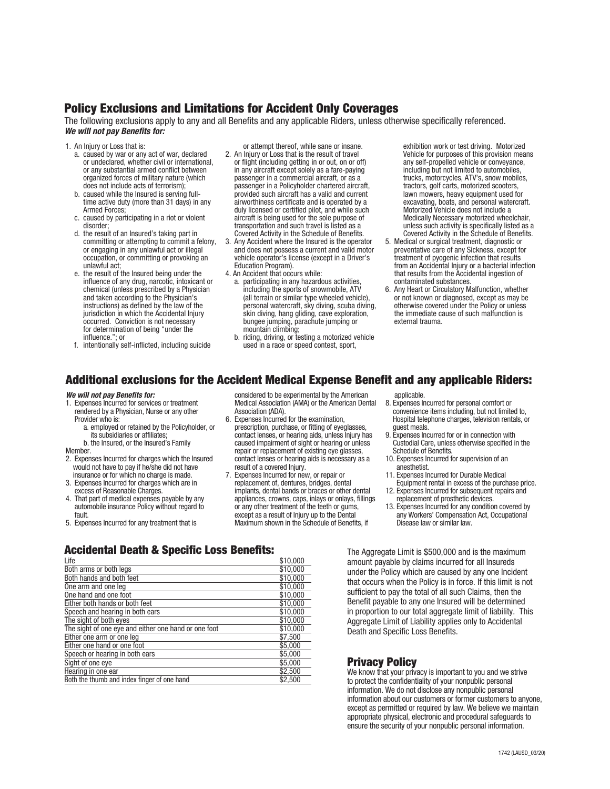# Policy Exclusions and Limitations for Accident Only Coverages

The following exclusions apply to any and all Benefits and any applicable Riders, unless otherwise specifically referenced. *We will not pay Benefits for:*

- 1. An Injury or Loss that is:
	- a. caused by war or any act of war, declared or undeclared, whether civil or international, or any substantial armed conflict between organized forces of military nature (which does not include acts of terrorism);
	- b. caused while the Insured is serving fulltime active duty (more than 31 days) in any Armed Forces;
	- c. caused by participating in a riot or violent disorder;
	- d. the result of an Insured's taking part in committing or attempting to commit a felony, or engaging in any unlawful act or illegal occupation, or committing or provoking an unlawful act;
	- e. the result of the Insured being under the influence of any drug, narcotic, intoxicant or chemical (unless prescribed by a Physician and taken according to the Physician's instructions) as defined by the law of the jurisdiction in which the Accidental Injury occurred. Conviction is not necessary for determination of being "under the influence."; or
	- f. intentionally self-inflicted, including suicide

or attempt thereof, while sane or insane.

- 2. An Injury or Loss that is the result of travel or flight (including getting in or out, on or off) in any aircraft except solely as a fare-paying passenger in a commercial aircraft, or as a passenger in a Policyholder chartered aircraft, provided such aircraft has a valid and current airworthiness certificate and is operated by a duly licensed or certified pilot, and while such aircraft is being used for the sole purpose of transportation and such travel is listed as a Covered Activity in the Schedule of Benefits.
- 3. Any Accident where the Insured is the operator and does not possess a current and valid motor vehicle operator's license (except in a Driver's Education Program).
- 4. An Accident that occurs while:
- a. participating in any hazardous activities, including the sports of snowmobile, ATV (all terrain or similar type wheeled vehicle), personal watercraft, sky diving, scuba diving, skin diving, hang gliding, cave exploration, bungee jumping, parachute jumping or mountain climbing;
- b. riding, driving, or testing a motorized vehicle used in a race or speed contest, sport,

exhibition work or test driving. Motorized Vehicle for purposes of this provision means any self-propelled vehicle or conveyance, including but not limited to automobiles, trucks, motorcycles, ATV's, snow mobiles, tractors, golf carts, motorized scooters, lawn mowers, heavy equipment used for excavating, boats, and personal watercraft. Motorized Vehicle does not include a Medically Necessary motorized wheelchair, unless such activity is specifically listed as a Covered Activity in the Schedule of Benefits.

- 5. Medical or surgical treatment, diagnostic or preventative care of any Sickness, except for treatment of pyogenic infection that results from an Accidental Injury or a bacterial infection that results from the Accidental ingestion of contaminated substances.
- 6. Any Heart or Circulatory Malfunction, whether or not known or diagnosed, except as may be otherwise covered under the Policy or unless the immediate cause of such malfunction is external trauma.

# Additional exclusions for the Accident Medical Expense Benefit and any applicable Riders:

#### *We will not pay Benefits for:*

- 1. Expenses Incurred for services or treatment rendered by a Physician, Nurse or any other Provider who is:
	- a. employed or retained by the Policyholder, or its subsidiaries or affiliates;
- b. the Insured, or the Insured's Family **Member**
- 
- 2. Expenses Incurred for charges which the Insured would not have to pay if he/she did not have insurance or for which no charge is made.
- 3. Expenses Incurred for charges which are in excess of Reasonable Charges.
- 4. That part of medical expenses payable by any automobile insurance Policy without regard to fault.
- 5. Expenses Incurred for any treatment that is

#### considered to be experimental by the American Medical Association (AMA) or the American Dental Association (ADA).

- 6. Expenses Incurred for the examination, prescription, purchase, or fitting of eyeglasses, contact lenses, or hearing aids, unless Injury has caused impairment of sight or hearing or unless repair or replacement of existing eye glasses, contact lenses or hearing aids is necessary as a result of a covered Injury.
- 7. Expenses Incurred for new, or repair or replacement of, dentures, bridges, dental implants, dental bands or braces or other dental appliances, crowns, caps, inlays or onlays, fillings or any other treatment of the teeth or gums, except as a result of Injury up to the Dental Maximum shown in the Schedule of Benefits, if

applicable.

- 8. Expenses Incurred for personal comfort or convenience items including, but not limited to, Hospital telephone charges, television rentals, or guest meals.
- 9. Expenses Incurred for or in connection with Custodial Care, unless otherwise specified in the Schedule of Benefits.
- 10. Expenses Incurred for supervision of an anesthetist.
- 11. Expenses Incurred for Durable Medical Equipment rental in excess of the purchase price.
- 12. Expenses Incurred for subsequent repairs and replacement of prosthetic devices.
- 13. Expenses Incurred for any condition covered by any Workers' Compensation Act, Occupational Disease law or similar law.

# Accidental Death & Specific Loss Benefits:

| Life                                                 | \$10,000 |
|------------------------------------------------------|----------|
| Both arms or both legs                               | \$10,000 |
| Both hands and both feet                             | \$10,000 |
| One arm and one leg                                  | \$10,000 |
| One hand and one foot                                | \$10,000 |
| Either both hands or both feet                       | \$10,000 |
| Speech and hearing in both ears                      | \$10,000 |
| The sight of both eyes                               | \$10,000 |
| The sight of one eye and either one hand or one foot | \$10,000 |
| Either one arm or one leg                            | \$7,500  |
| Either one hand or one foot                          | \$5,000  |
| Speech or hearing in both ears                       | \$5,000  |
| Sight of one eye                                     | \$5,000  |
| Hearing in one ear                                   | \$2,500  |
| Both the thumb and index finger of one hand          | \$2,500  |

The Aggregate Limit is \$500,000 and is the maximum amount payable by claims incurred for all Insureds under the Policy which are caused by any one Incident that occurs when the Policy is in force. If this limit is not sufficient to pay the total of all such Claims, then the Benefit payable to any one Insured will be determined in proportion to our total aggregate limit of liability. This Aggregate Limit of Liability applies only to Accidental Death and Specific Loss Benefits.

# Privacy Policy

We know that your privacy is important to you and we strive to protect the confidentiality of your nonpublic personal information. We do not disclose any nonpublic personal information about our customers or former customers to anyone, except as permitted or required by law. We believe we maintain appropriate physical, electronic and procedural safeguards to ensure the security of your nonpublic personal information.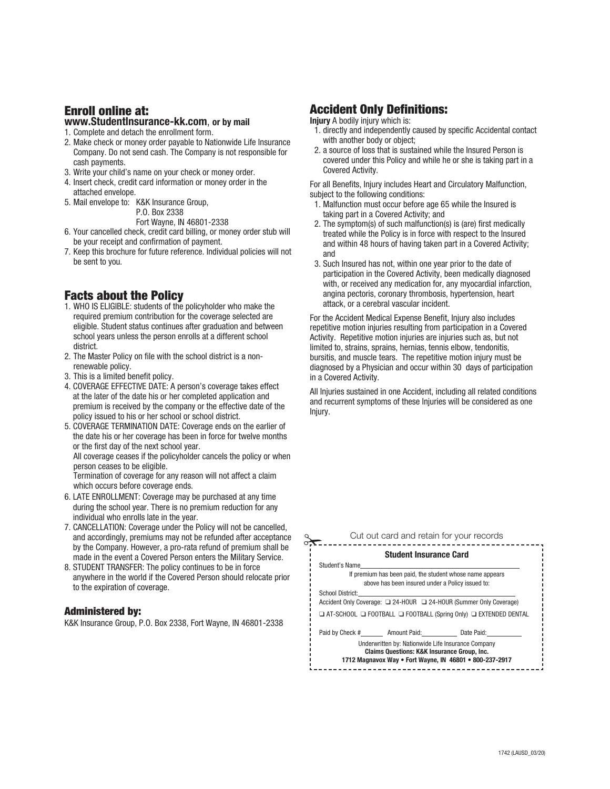# Enroll online at:

# **www.StudentInsurance-kk.com**, **or by mail**

- 1. Complete and detach the enrollment form.
- 2. Make check or money order payable to Nationwide Life Insurance Company. Do not send cash. The Company is not responsible for cash payments.
- 3. Write your child's name on your check or money order.
- 4. Insert check, credit card information or money order in the attached envelope.
- 5. Mail envelope to: K&K Insurance Group, P.O. Box 2338 Fort Wayne, IN 46801-2338
- 6. Your cancelled check, credit card billing, or money order stub will be your receipt and confirmation of payment.
- 7. Keep this brochure for future reference. Individual policies will not be sent to you.

# Facts about the Policy

- 1. WHO IS ELIGIBLE: students of the policyholder who make the required premium contribution for the coverage selected are eligible. Student status continues after graduation and between school years unless the person enrolls at a different school district.
- 2. The Master Policy on file with the school district is a nonrenewable policy.
- 3. This is a limited benefit policy.
- 4. COVERAGE EFFECTIVE DATE: A person's coverage takes effect at the later of the date his or her completed application and premium is received by the company or the effective date of the policy issued to his or her school or school district.
- 5. COVERAGE TERMINATION DATE: Coverage ends on the earlier of the date his or her coverage has been in force for twelve months or the first day of the next school year. All coverage ceases if the policyholder cancels the policy or when person ceases to be eligible. Termination of coverage for any reason will not affect a claim

which occurs before coverage ends.

- 6. LATE ENROLLMENT: Coverage may be purchased at any time during the school year. There is no premium reduction for any individual who enrolls late in the year.
- 7. CANCELLATION: Coverage under the Policy will not be cancelled, and accordingly, premiums may not be refunded after acceptance by the Company. However, a pro-rata refund of premium shall be made in the event a Covered Person enters the Military Service.
- 8. STUDENT TRANSFER: The policy continues to be in force anywhere in the world if the Covered Person should relocate prior to the expiration of coverage.

## Administered by:

K&K Insurance Group, P.O. Box 2338, Fort Wayne, IN 46801-2338

# Accident Only Definitions:

**Injury** A bodily injury which is:

- 1. directly and independently caused by specific Accidental contact with another body or object;
- 2. a source of loss that is sustained while the Insured Person is covered under this Policy and while he or she is taking part in a Covered Activity.

For all Benefits, Injury includes Heart and Circulatory Malfunction, subject to the following conditions:

- 1. Malfunction must occur before age 65 while the Insured is taking part in a Covered Activity; and
- 2. The symptom(s) of such malfunction(s) is (are) first medically treated while the Policy is in force with respect to the Insured and within 48 hours of having taken part in a Covered Activity; and
- 3. Such Insured has not, within one year prior to the date of participation in the Covered Activity, been medically diagnosed with, or received any medication for, any myocardial infarction, angina pectoris, coronary thrombosis, hypertension, heart attack, or a cerebral vascular incident.

For the Accident Medical Expense Benefit, Injury also includes repetitive motion injuries resulting from participation in a Covered Activity. Repetitive motion injuries are injuries such as, but not limited to, strains, sprains, hernias, tennis elbow, tendonitis, bursitis, and muscle tears. The repetitive motion injury must be diagnosed by a Physician and occur within 30 days of participation in a Covered Activity.

All Injuries sustained in one Accident, including all related conditions and recurrent symptoms of these Injuries will be considered as one Injury.

| Cut out card and retain for your records                                                                                                                                |  |  |  |
|-------------------------------------------------------------------------------------------------------------------------------------------------------------------------|--|--|--|
| <b>Student Insurance Card</b>                                                                                                                                           |  |  |  |
| Student's Name                                                                                                                                                          |  |  |  |
| If premium has been paid, the student whose name appears                                                                                                                |  |  |  |
| above has been insured under a Policy issued to:                                                                                                                        |  |  |  |
| School District:                                                                                                                                                        |  |  |  |
| Accident Only Coverage: □ 24-HOUR □ 24-HOUR (Summer Only Coverage)                                                                                                      |  |  |  |
| □ AT-SCHOOL □ FOOTBALL □ FOOTBALL (Spring Only) □ EXTENDED DENTAL                                                                                                       |  |  |  |
| Paid by Check # Amount Paid: Date Paid:                                                                                                                                 |  |  |  |
| Underwritten by: Nationwide Life Insurance Company<br><b>Claims Questions: K&amp;K Insurance Group, Inc.</b><br>1712 Magnavox Way . Fort Wayne, IN 46801 . 800-237-2917 |  |  |  |